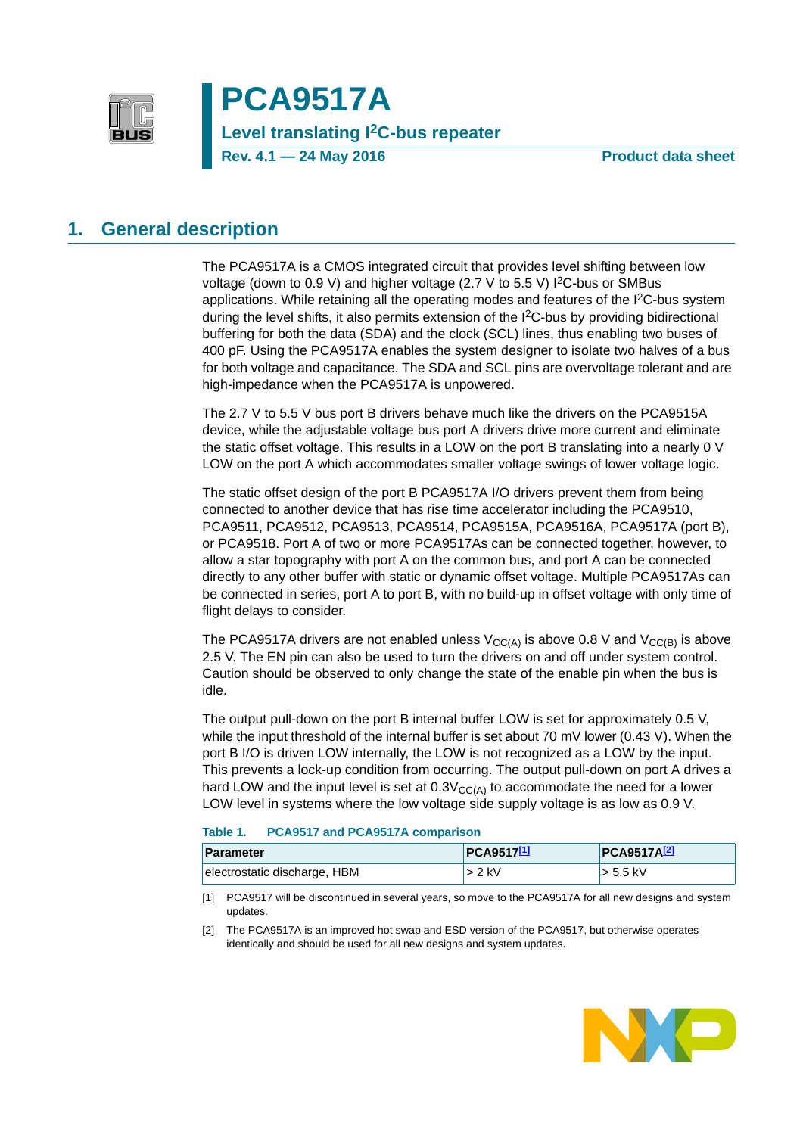

**PCA9517A Level translating I2C-bus repeater Rev. 4.1 — 24 May 2016 Product data sheet**

# <span id="page-0-3"></span>**1. General description**

The PCA9517A is a CMOS integrated circuit that provides level shifting between low voltage (down to 0.9 V) and higher voltage (2.7 V to 5.5 V) I<sup>2</sup>C-bus or SMBus applications. While retaining all the operating modes and features of the I2C-bus system during the level shifts, it also permits extension of the I2C-bus by providing bidirectional buffering for both the data (SDA) and the clock (SCL) lines, thus enabling two buses of 400 pF. Using the PCA9517A enables the system designer to isolate two halves of a bus for both voltage and capacitance. The SDA and SCL pins are overvoltage tolerant and are high-impedance when the PCA9517A is unpowered.

The 2.7 V to 5.5 V bus port B drivers behave much like the drivers on the PCA9515A device, while the adjustable voltage bus port A drivers drive more current and eliminate the static offset voltage. This results in a LOW on the port B translating into a nearly 0 V LOW on the port A which accommodates smaller voltage swings of lower voltage logic.

The static offset design of the port B PCA9517A I/O drivers prevent them from being connected to another device that has rise time accelerator including the PCA9510, PCA9511, PCA9512, PCA9513, PCA9514, PCA9515A, PCA9516A, PCA9517A (port B), or PCA9518. Port A of two or more PCA9517As can be connected together, however, to allow a star topography with port A on the common bus, and port A can be connected directly to any other buffer with static or dynamic offset voltage. Multiple PCA9517As can be connected in series, port A to port B, with no build-up in offset voltage with only time of flight delays to consider.

The PCA9517A drivers are not enabled unless  $V_{CC(A)}$  is above 0.8 V and  $V_{CC(B)}$  is above 2.5 V. The EN pin can also be used to turn the drivers on and off under system control. Caution should be observed to only change the state of the enable pin when the bus is idle.

The output pull-down on the port B internal buffer LOW is set for approximately 0.5 V, while the input threshold of the internal buffer is set about 70 mV lower (0.43 V). When the port B I/O is driven LOW internally, the LOW is not recognized as a LOW by the input. This prevents a lock-up condition from occurring. The output pull-down on port A drives a hard LOW and the input level is set at  $0.3V_{CC(A)}$  to accommodate the need for a lower LOW level in systems where the low voltage side supply voltage is as low as 0.9 V.

#### <span id="page-0-2"></span>**Table 1. PCA9517 and PCA9517A comparison**

| <b>Parameter</b>             | <b>PCA9517[1]</b> | <b>PCA9517A2</b> |
|------------------------------|-------------------|------------------|
| electrostatic discharge, HBM | > 2 kV            | $\ge$ 5.5 kV     |

<span id="page-0-0"></span>[1] PCA9517 will be discontinued in several years, so move to the PCA9517A for all new designs and system updates.

<span id="page-0-1"></span>[2] The PCA9517A is an improved hot swap and ESD version of the PCA9517, but otherwise operates identically and should be used for all new designs and system updates.

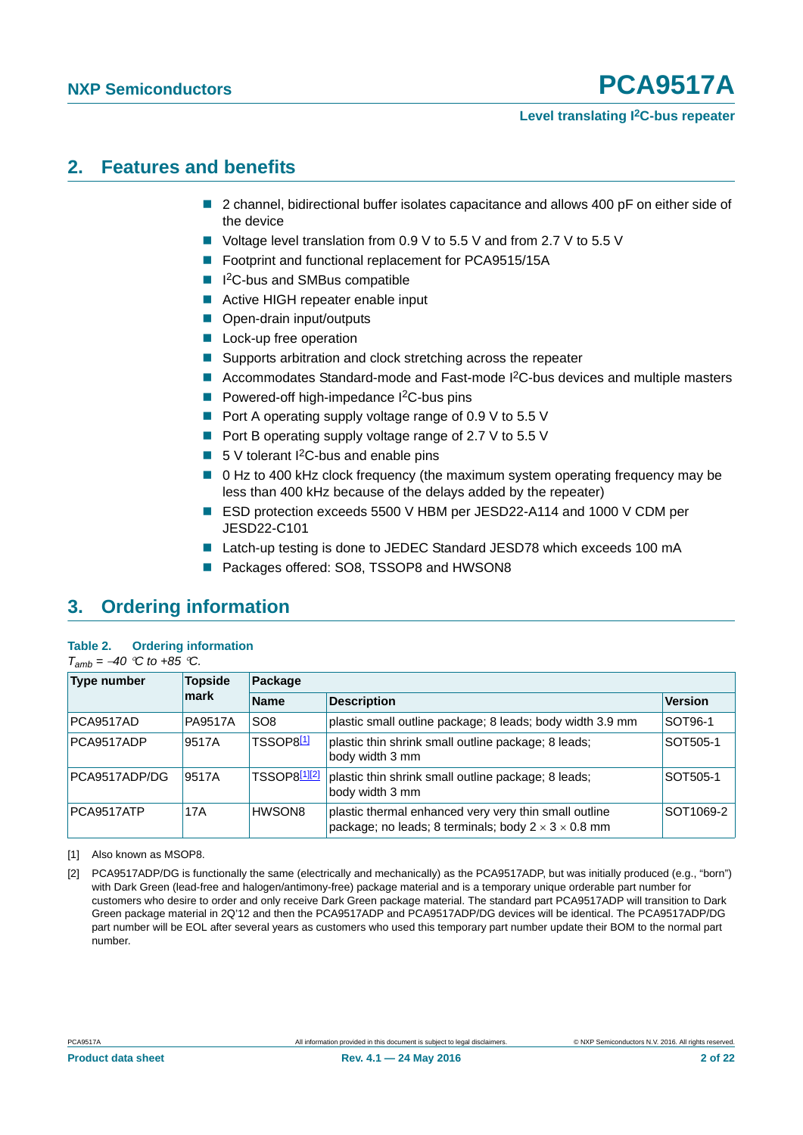#### **Level translating I2C-bus repeater**

# <span id="page-1-3"></span>**2. Features and benefits**

- 2 channel, bidirectional buffer isolates capacitance and allows 400 pF on either side of the device
- Voltage level translation from 0.9 V to 5.5 V and from 2.7 V to 5.5 V
- Footprint and functional replacement for PCA9515/15A
- I<sup>2</sup>C-bus and SMBus compatible
- Active HIGH repeater enable input
- Open-drain input/outputs
- **Lock-up free operation**
- Supports arbitration and clock stretching across the repeater
- Accommodates Standard-mode and Fast-mode  $1^2C$ -bus devices and multiple masters
- **Powered-off high-impedance**  $I^2C$ **-bus pins**
- Port A operating supply voltage range of 0.9 V to 5.5 V
- Port B operating supply voltage range of 2.7 V to 5.5 V
- $\blacksquare$  5 V tolerant I<sup>2</sup>C-bus and enable pins
- 0 Hz to 400 kHz clock frequency (the maximum system operating frequency may be less than 400 kHz because of the delays added by the repeater)
- ESD protection exceeds 5500 V HBM per JESD22-A114 and 1000 V CDM per JESD22-C101
- Latch-up testing is done to JEDEC Standard JESD78 which exceeds 100 mA
- Packages offered: SO8, TSSOP8 and HWSON8

# <span id="page-1-4"></span>**3. Ordering information**

#### <span id="page-1-1"></span>**Table 2. Ordering information**  $T_{amb} = -40$  *°C to +85 °C.*

| <b>Type number</b> | <b>Topside</b> | Package          |                                                                                                                          |                |  |  |  |
|--------------------|----------------|------------------|--------------------------------------------------------------------------------------------------------------------------|----------------|--|--|--|
|                    | mark           | <b>Name</b>      | <b>Description</b>                                                                                                       | <b>Version</b> |  |  |  |
| PCA9517AD          | <b>PA9517A</b> | SO <sub>8</sub>  | plastic small outline package; 8 leads; body width 3.9 mm                                                                | SOT96-1        |  |  |  |
| PCA9517ADP         | 9517A          | <b>TSSOP8[1]</b> | plastic thin shrink small outline package; 8 leads;<br>body width 3 mm                                                   | SOT505-1       |  |  |  |
| PCA9517ADP/DG      | 9517A          | TSSOP8[1][2]     | plastic thin shrink small outline package; 8 leads;<br>body width 3 mm                                                   | SOT505-1       |  |  |  |
| PCA9517ATP         | 17A            | HWSON8           | plastic thermal enhanced very very thin small outline<br>package; no leads; 8 terminals; body $2 \times 3 \times 0.8$ mm | SOT1069-2      |  |  |  |

<span id="page-1-0"></span>[1] Also known as MSOP8.

<span id="page-1-2"></span>[2] PCA9517ADP/DG is functionally the same (electrically and mechanically) as the PCA9517ADP, but was initially produced (e.g., "born") with Dark Green (lead-free and halogen/antimony-free) package material and is a temporary unique orderable part number for customers who desire to order and only receive Dark Green package material. The standard part PCA9517ADP will transition to Dark Green package material in 2Q'12 and then the PCA9517ADP and PCA9517ADP/DG devices will be identical. The PCA9517ADP/DG part number will be EOL after several years as customers who used this temporary part number update their BOM to the normal part number.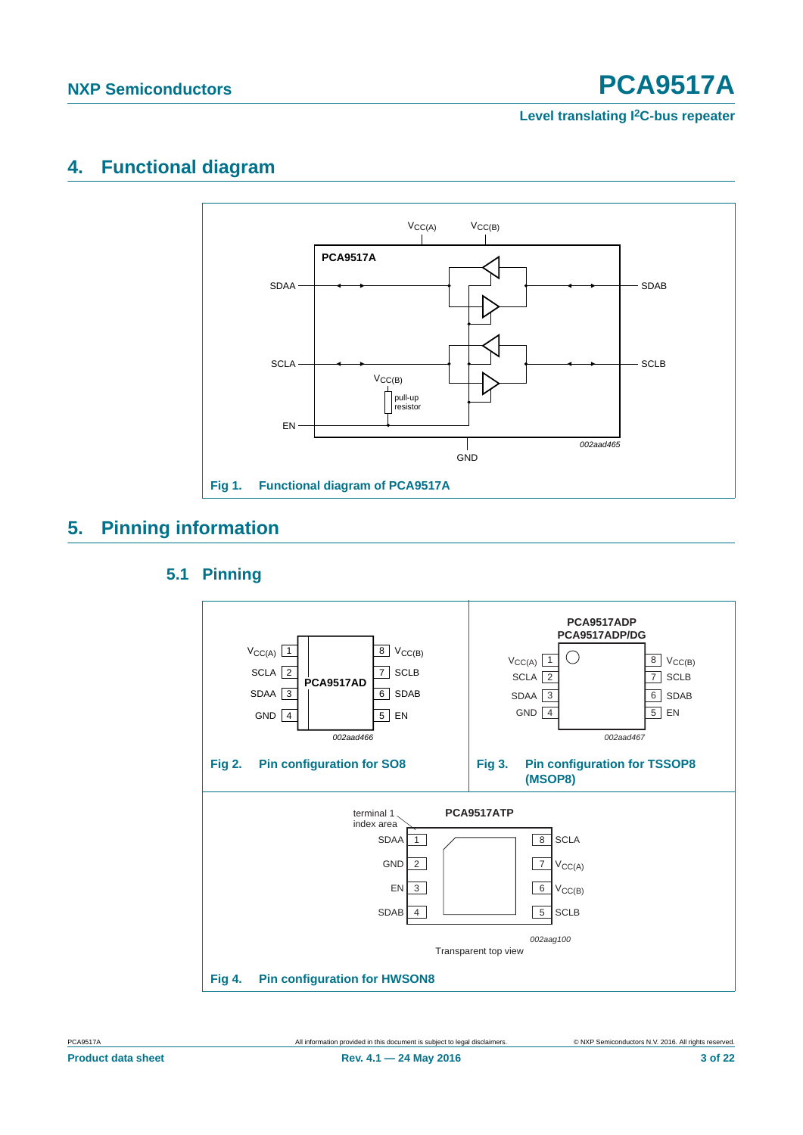#### **Level translating I2C-bus repeater**

# <span id="page-2-2"></span>**4. Functional diagram**



# <span id="page-2-4"></span><span id="page-2-3"></span>**5. Pinning information**

# <span id="page-2-0"></span>**5.1 Pinning**

<span id="page-2-1"></span>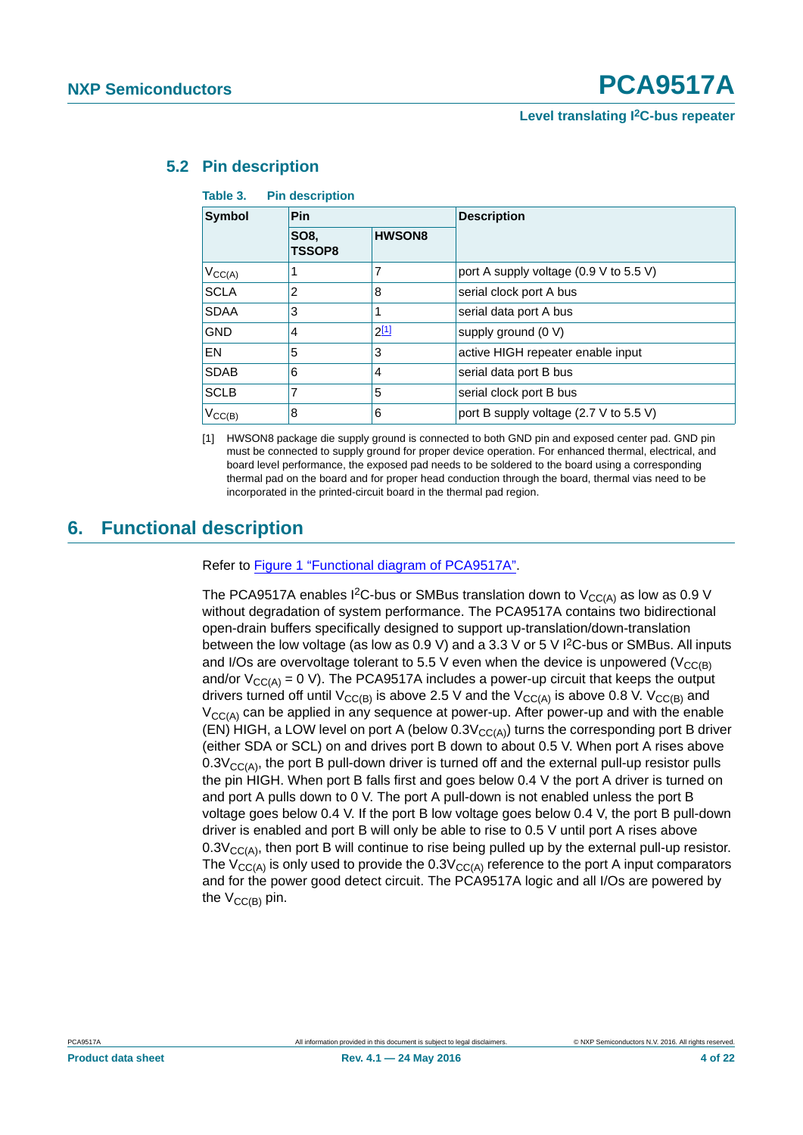#### **Level translating I2C-bus repeater**

# <span id="page-3-2"></span>**5.2 Pin description**

#### **Table 3. Pin description**

| Symbol             | Pin                   |               | <b>Description</b>                     |  |  |
|--------------------|-----------------------|---------------|----------------------------------------|--|--|
|                    | SO8.<br><b>TSSOP8</b> | <b>HWSON8</b> |                                        |  |  |
| $V_{CC(A)}$        |                       |               | port A supply voltage (0.9 V to 5.5 V) |  |  |
| <b>SCLA</b>        | 2                     | 8             | serial clock port A bus                |  |  |
| <b>SDAA</b>        | 3                     |               | serial data port A bus                 |  |  |
| <b>GND</b>         | 4                     | $2^{[1]}$     | supply ground (0 V)                    |  |  |
| EN                 | 5                     | 3             | active HIGH repeater enable input      |  |  |
| <b>SDAB</b>        | 6                     | 4             | serial data port B bus                 |  |  |
| <b>SCLB</b>        | 7                     | 5             | serial clock port B bus                |  |  |
| $V_{\text{CC}(B)}$ | 8                     | 6             | port B supply voltage (2.7 V to 5.5 V) |  |  |

<span id="page-3-0"></span>[1] HWSON8 package die supply ground is connected to both GND pin and exposed center pad. GND pin must be connected to supply ground for proper device operation. For enhanced thermal, electrical, and board level performance, the exposed pad needs to be soldered to the board using a corresponding thermal pad on the board and for proper head conduction through the board, thermal vias need to be incorporated in the printed-circuit board in the thermal pad region.

# <span id="page-3-1"></span>**6. Functional description**

#### Refer to [Figure 1 "Functional diagram of PCA9517A".](#page-2-0)

The PCA9517A enables I<sup>2</sup>C-bus or SMBus translation down to  $V_{CC(A)}$  as low as 0.9 V without degradation of system performance. The PCA9517A contains two bidirectional open-drain buffers specifically designed to support up-translation/down-translation between the low voltage (as low as 0.9 V) and a 3.3 V or 5 V I2C-bus or SMBus. All inputs and I/Os are overvoltage tolerant to 5.5 V even when the device is unpowered ( $V_{CC(B)}$ ) and/or  $V_{C C(A)} = 0$  V). The PCA9517A includes a power-up circuit that keeps the output drivers turned off until  $V_{CC(B)}$  is above 2.5 V and the  $V_{CC(A)}$  is above 0.8 V.  $V_{CC(B)}$  and  $V_{\text{CC(A)}}$  can be applied in any sequence at power-up. After power-up and with the enable (EN) HIGH, a LOW level on port A (below  $0.3V<sub>CC(A)</sub>$ ) turns the corresponding port B driver (either SDA or SCL) on and drives port B down to about 0.5 V. When port A rises above  $0.3V_{CCA}$ , the port B pull-down driver is turned off and the external pull-up resistor pulls the pin HIGH. When port B falls first and goes below 0.4 V the port A driver is turned on and port A pulls down to 0 V. The port A pull-down is not enabled unless the port B voltage goes below 0.4 V. If the port B low voltage goes below 0.4 V, the port B pull-down driver is enabled and port B will only be able to rise to 0.5 V until port A rises above  $0.3V_{\text{CCA}}$ , then port B will continue to rise being pulled up by the external pull-up resistor. The  $V_{CC(A)}$  is only used to provide the  $0.3V_{CC(A)}$  reference to the port A input comparators and for the power good detect circuit. The PCA9517A logic and all I/Os are powered by the  $V_{CC(B)}$  pin.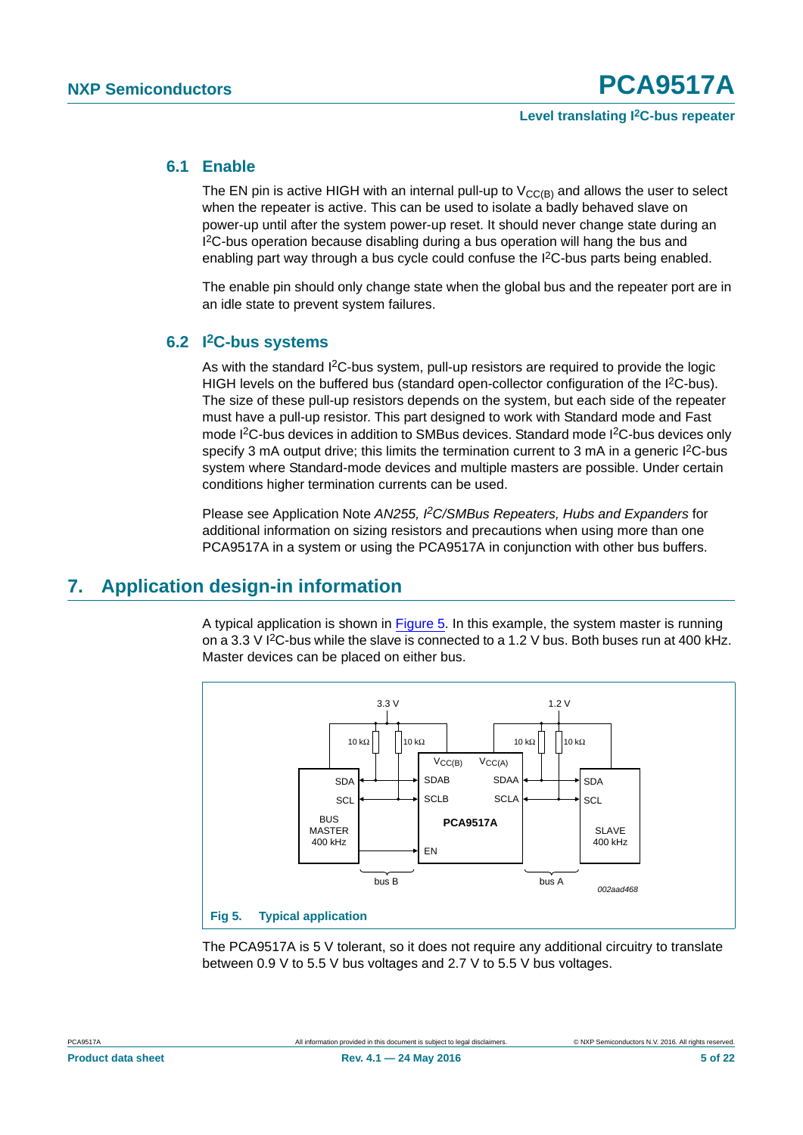## <span id="page-4-1"></span>**6.1 Enable**

The EN pin is active HIGH with an internal pull-up to  $V_{CC(B)}$  and allows the user to select when the repeater is active. This can be used to isolate a badly behaved slave on power-up until after the system power-up reset. It should never change state during an I<sup>2</sup>C-bus operation because disabling during a bus operation will hang the bus and enabling part way through a bus cycle could confuse the I<sup>2</sup>C-bus parts being enabled.

The enable pin should only change state when the global bus and the repeater port are in an idle state to prevent system failures.

# <span id="page-4-2"></span>**6.2 I2C-bus systems**

As with the standard I<sup>2</sup>C-bus system, pull-up resistors are required to provide the logic HIGH levels on the buffered bus (standard open-collector configuration of the I<sup>2</sup>C-bus). The size of these pull-up resistors depends on the system, but each side of the repeater must have a pull-up resistor. This part designed to work with Standard mode and Fast mode I<sup>2</sup>C-bus devices in addition to SMBus devices. Standard mode I<sup>2</sup>C-bus devices only specify 3 mA output drive; this limits the termination current to 3 mA in a generic I<sup>2</sup>C-bus system where Standard-mode devices and multiple masters are possible. Under certain conditions higher termination currents can be used.

Please see Application Note *AN255, I2C/SMBus Repeaters, Hubs and Expanders* for additional information on sizing resistors and precautions when using more than one PCA9517A in a system or using the PCA9517A in conjunction with other bus buffers.

# <span id="page-4-3"></span>**7. Application design-in information**

A typical application is shown in [Figure 5](#page-4-0). In this example, the system master is running on a 3.3 V  ${}^{12}$ C-bus while the slave is connected to a 1.2 V bus. Both buses run at 400 kHz. Master devices can be placed on either bus.



<span id="page-4-0"></span>The PCA9517A is 5 V tolerant, so it does not require any additional circuitry to translate between 0.9 V to 5.5 V bus voltages and 2.7 V to 5.5 V bus voltages.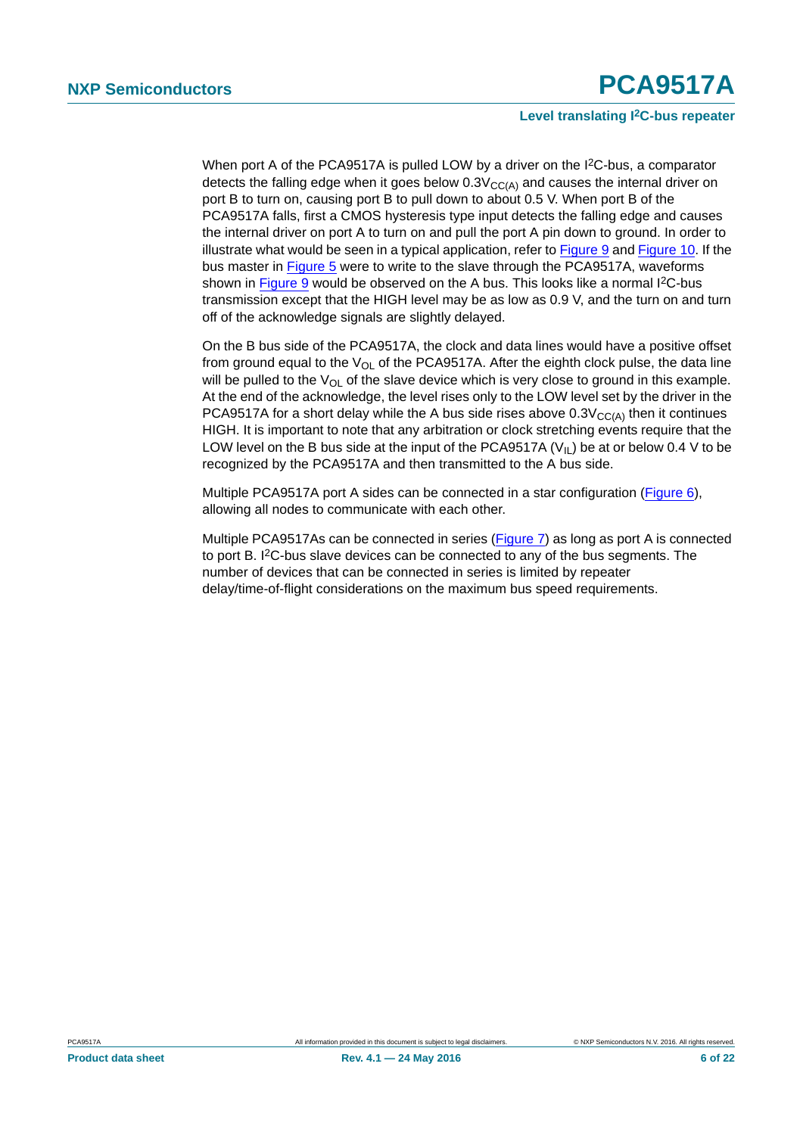#### **Level translating I2C-bus repeater**

When port A of the PCA9517A is pulled LOW by a driver on the I<sup>2</sup>C-bus, a comparator detects the falling edge when it goes below  $0.3V_{\text{CC(A)}}$  and causes the internal driver on port B to turn on, causing port B to pull down to about 0.5 V. When port B of the PCA9517A falls, first a CMOS hysteresis type input detects the falling edge and causes the internal driver on port A to turn on and pull the port A pin down to ground. In order to illustrate what would be seen in a typical application, refer to [Figure 9](#page-7-0) and [Figure 10.](#page-7-1) If the bus master in [Figure 5](#page-4-0) were to write to the slave through the PCA9517A, waveforms shown in [Figure 9](#page-7-0) would be observed on the A bus. This looks like a normal I<sup>2</sup>C-bus transmission except that the HIGH level may be as low as 0.9 V, and the turn on and turn off of the acknowledge signals are slightly delayed.

On the B bus side of the PCA9517A, the clock and data lines would have a positive offset from ground equal to the  $V_{\Omega}$  of the PCA9517A. After the eighth clock pulse, the data line will be pulled to the  $V_{\text{O}}$  of the slave device which is very close to ground in this example. At the end of the acknowledge, the level rises only to the LOW level set by the driver in the PCA9517A for a short delay while the A bus side rises above  $0.3V<sub>CC(A)</sub>$  then it continues HIGH. It is important to note that any arbitration or clock stretching events require that the LOW level on the B bus side at the input of the PCA9517A ( $V_{II}$ ) be at or below 0.4 V to be recognized by the PCA9517A and then transmitted to the A bus side.

Multiple PCA9517A port A sides can be connected in a star configuration [\(Figure 6\)](#page-6-0), allowing all nodes to communicate with each other.

Multiple PCA9517As can be connected in series ([Figure 7](#page-6-1)) as long as port A is connected to port B. I2C-bus slave devices can be connected to any of the bus segments. The number of devices that can be connected in series is limited by repeater delay/time-of-flight considerations on the maximum bus speed requirements.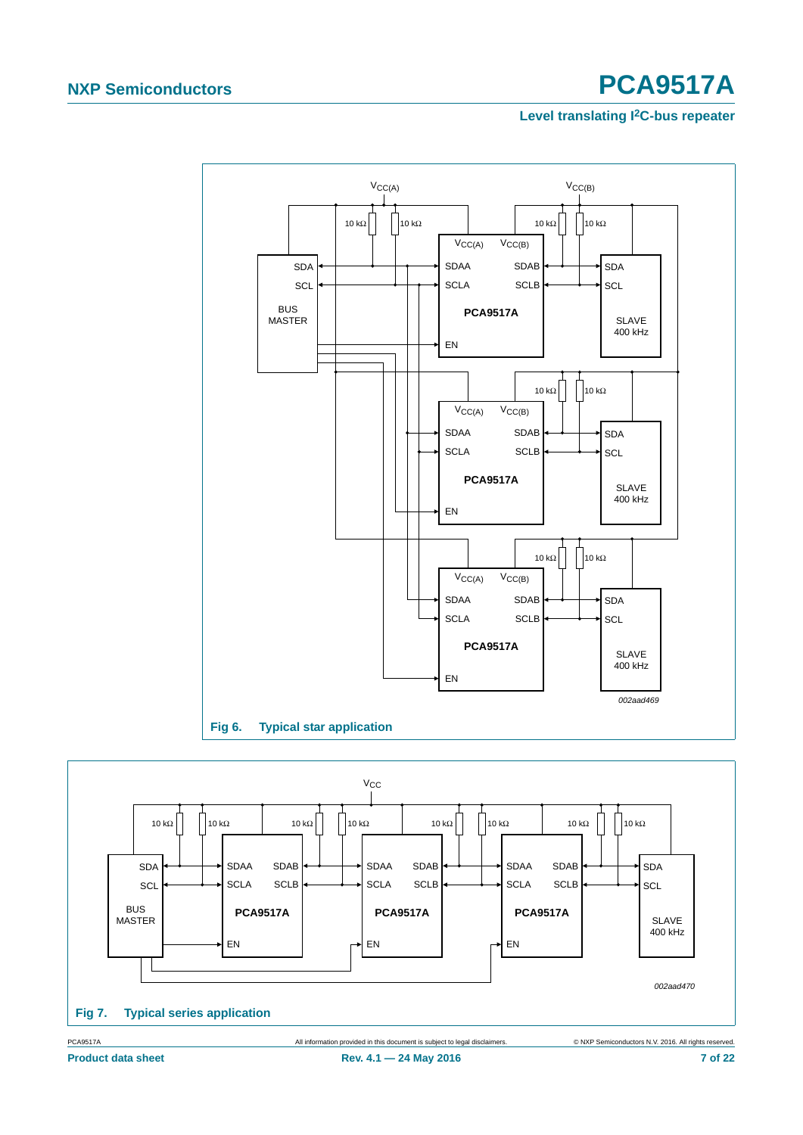## **Level translating I2C-bus repeater**



<span id="page-6-0"></span>

<span id="page-6-1"></span>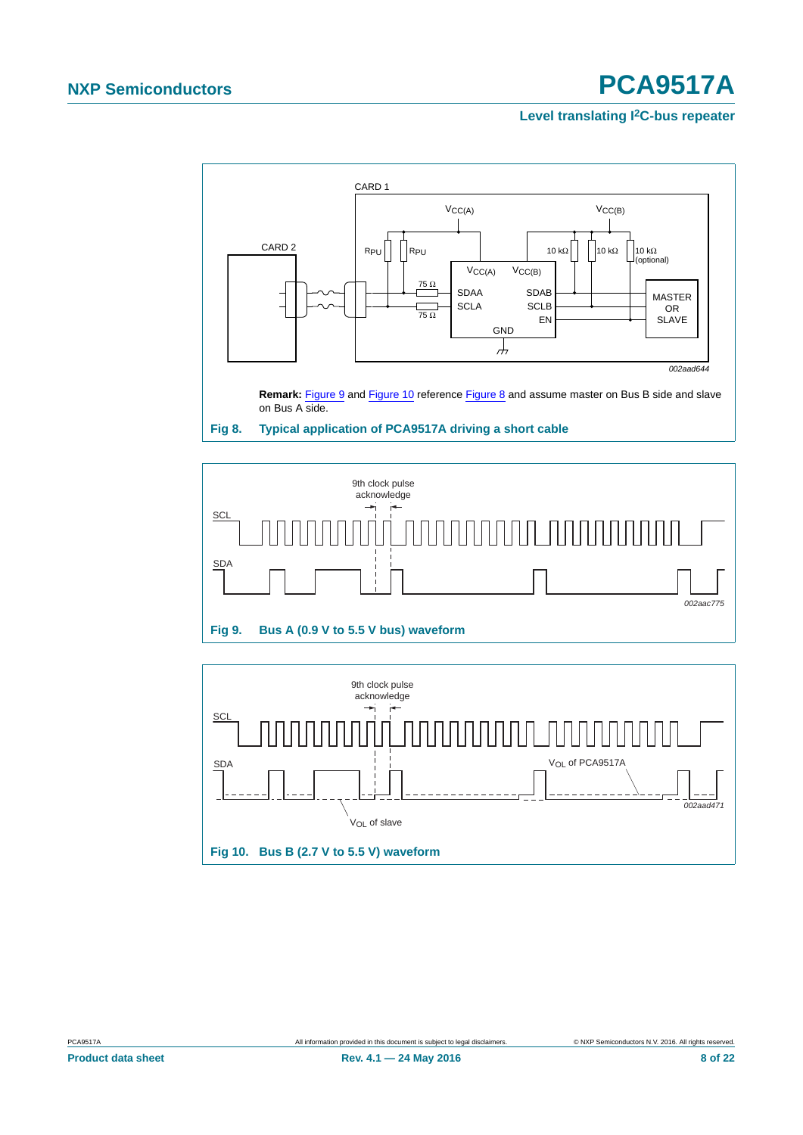## **Level translating I2C-bus repeater**



<span id="page-7-2"></span>

<span id="page-7-1"></span><span id="page-7-0"></span>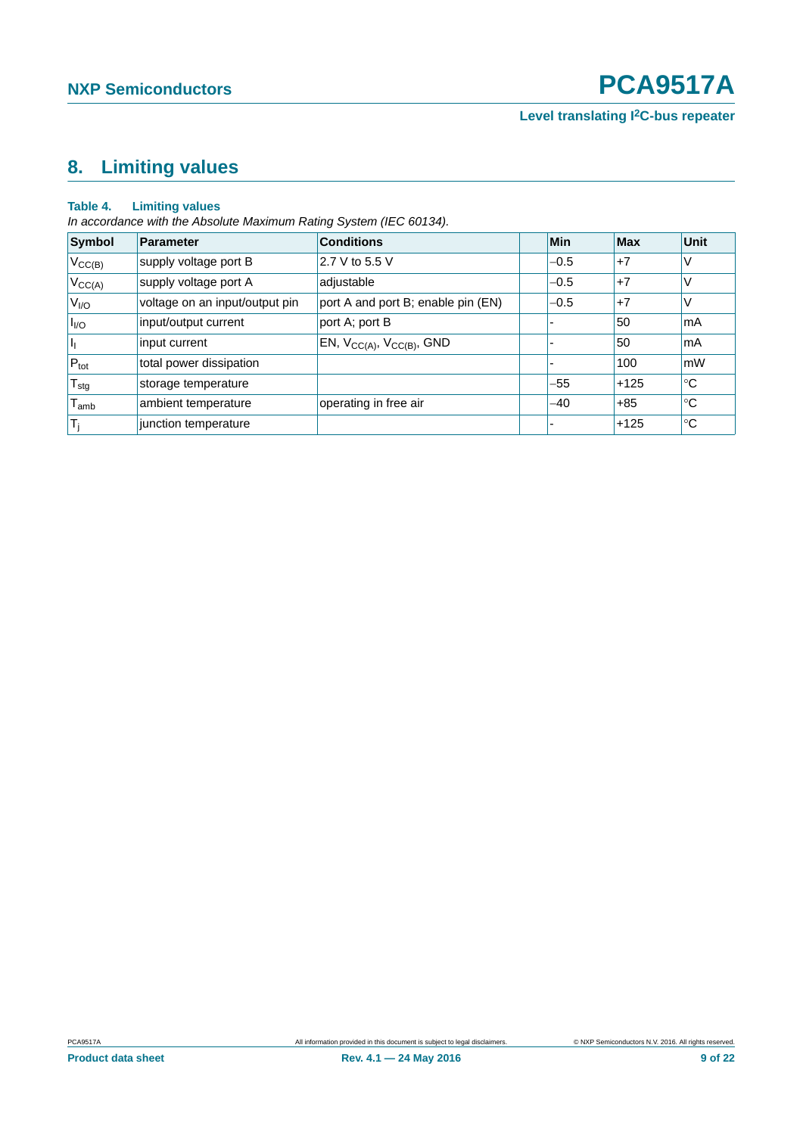**Level translating I2C-bus repeater**

# <span id="page-8-0"></span>**8. Limiting values**

#### **Table 4. Limiting values**

*In accordance with the Absolute Maximum Rating System (IEC 60134).*

| Symbol                | <b>Parameter</b>               | <b>Conditions</b>                   | Min                      | Max    | <b>Unit</b> |
|-----------------------|--------------------------------|-------------------------------------|--------------------------|--------|-------------|
| $V_{CC(B)}$           | supply voltage port B          | 2.7 V to 5.5 V                      | $-0.5$                   | $+7$   | V           |
| $V_{CC(A)}$           | supply voltage port A          | adjustable                          | $-0.5$                   | $+7$   | V           |
| V <sub>I/O</sub>      | voltage on an input/output pin | port A and port B; enable pin (EN)  | $-0.5$                   | $+7$   | V           |
| $\vert I_{\text{HO}}$ | input/output current           | port A; port B                      | $\overline{\phantom{a}}$ | 50     | mA          |
| H,                    | input current                  | EN, $V_{CC(A)}$ , $V_{CC(B)}$ , GND | $\overline{\phantom{0}}$ | 50     | mA          |
| $P_{\text{tot}}$      | total power dissipation        |                                     |                          | 100    | mW          |
| $T_{\text{stg}}$      | storage temperature            |                                     | $-55$                    | $+125$ | $^{\circ}C$ |
| $I_{amb}$             | ambient temperature            | operating in free air               | $-40$                    | $+85$  | ∣℃          |
| $T_i$                 | junction temperature           |                                     | $\overline{\phantom{0}}$ | $+125$ | ∣℃          |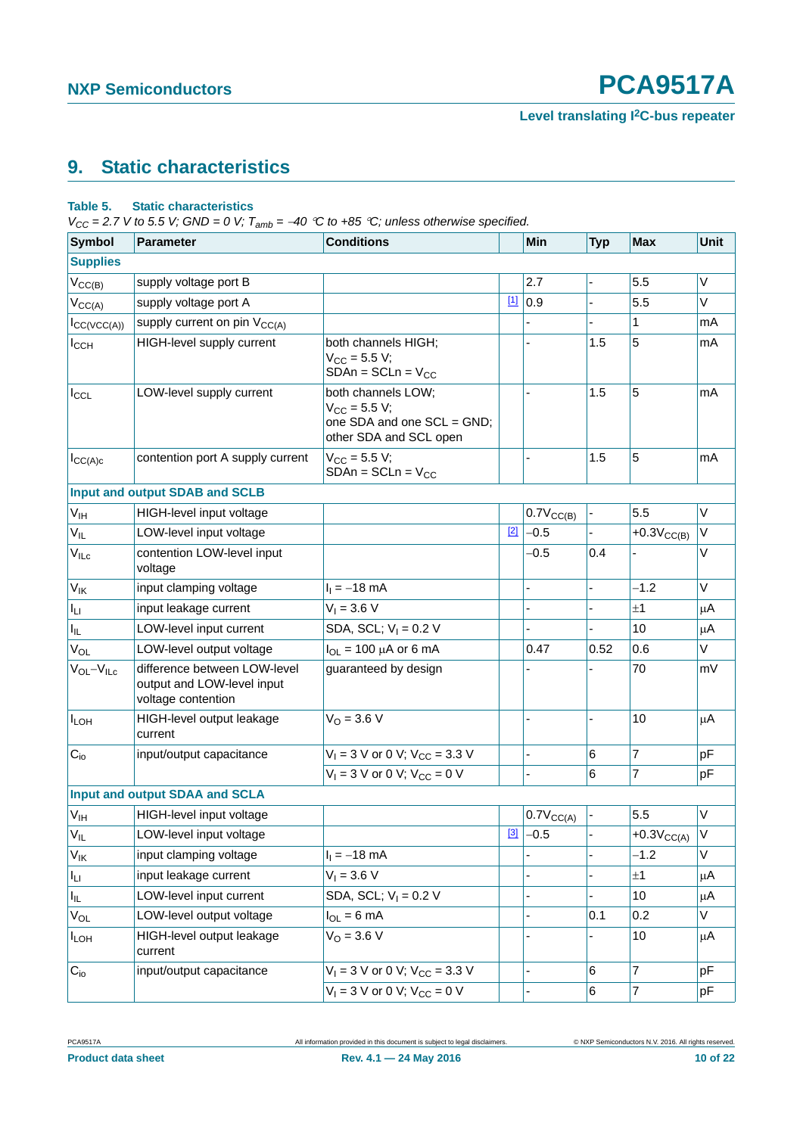# <span id="page-9-0"></span>**9. Static characteristics**

#### **Table 5. Static characteristics**

*V<sub>CC</sub>* = 2.7 *V* to 5.5 *V;* GND = 0 *V;*  $T_{amb}$  = -40 °C to +85 °C; unless otherwise specified.

| <b>Symbol</b>               | <b>Parameter</b>                                                                 | <b>Conditions</b>                                                                               |       | <b>Min</b>     | <b>Typ</b> | <b>Max</b>      | <b>Unit</b> |
|-----------------------------|----------------------------------------------------------------------------------|-------------------------------------------------------------------------------------------------|-------|----------------|------------|-----------------|-------------|
| <b>Supplies</b>             |                                                                                  |                                                                                                 |       |                |            |                 |             |
| $V_{CC(B)}$                 | supply voltage port B                                                            |                                                                                                 |       | 2.7            |            | 5.5             | V           |
| $V_{CC(A)}$                 | supply voltage port A                                                            |                                                                                                 | $[1]$ | 0.9            |            | 5.5             | V           |
| $I_{CC(VCC(A))}$            | supply current on pin V <sub>CC(A)</sub>                                         |                                                                                                 |       |                |            | 1               | mA          |
| $I_{\text{CCH}}$            | HIGH-level supply current                                                        | both channels HIGH;<br>$V_{CC}$ = 5.5 V;<br>$SDAn = SCLn = V_{CC}$                              |       |                | 1.5        | 5               | mA          |
| $I_{CCL}$                   | LOW-level supply current                                                         | both channels LOW;<br>$V_{CC} = 5.5 V;$<br>one SDA and one SCL = GND;<br>other SDA and SCL open |       |                | 1.5        | 5               | mA          |
| ICC(A)c                     | contention port A supply current                                                 | $V_{CC} = 5.5 V;$<br>$SDAn = SCLn = VCC$                                                        |       |                | 1.5        | 5               | mA          |
|                             | Input and output SDAB and SCLB                                                   |                                                                                                 |       |                |            |                 |             |
| V <sub>IH</sub>             | HIGH-level input voltage                                                         |                                                                                                 |       | $0.7V_{CC(B)}$ |            | 5.5             | $\vee$      |
| $V_{IL}$                    | LOW-level input voltage                                                          |                                                                                                 | $[2]$ | $-0.5$         |            | $+0.3V_{CC(B)}$ | V           |
| $\mathsf{V}_{\mathsf{ILC}}$ | contention LOW-level input<br>voltage                                            |                                                                                                 |       | $-0.5$         | 0.4        |                 | V           |
| $V_{IK}$                    | input clamping voltage                                                           | $I_1 = -18$ mA                                                                                  |       | $\overline{a}$ | L.         | $-1.2$          | $\vee$      |
| $I_{LI}$                    | input leakage current                                                            | $V_1 = 3.6 V$                                                                                   |       | L,             | ÷,         | ±1              | μA          |
| $I_{IL}$                    | LOW-level input current                                                          | SDA, SCL; $V_1 = 0.2 V$                                                                         |       |                |            | 10              | μA          |
| $V_{OL}$                    | LOW-level output voltage                                                         | $I_{OL}$ = 100 µA or 6 mA                                                                       |       | 0.47           | 0.52       | 0.6             | V           |
| $V_{OL} - V_{ILC}$          | difference between LOW-level<br>output and LOW-level input<br>voltage contention | guaranteed by design                                                                            |       |                |            | 70              | mV          |
| <b>ILOH</b>                 | HIGH-level output leakage<br>current                                             | $V_{O} = 3.6 V$                                                                                 |       | ä,             |            | 10              | μA          |
| $C_{i0}$                    | input/output capacitance                                                         | $V_1 = 3$ V or 0 V; $V_{CC} = 3.3$ V                                                            |       | $\overline{a}$ | 6          | 7               | pF          |
|                             |                                                                                  | $V_1 = 3$ V or 0 V; $V_{CC} = 0$ V                                                              |       | Ĭ.             | 6          | 7               | pF          |
|                             | Input and output SDAA and SCLA                                                   |                                                                                                 |       |                |            |                 |             |
| $V_{\text{IH}}$             | HIGH-level input voltage                                                         |                                                                                                 |       | $0.7V_{CC(A)}$ |            | 5.5             | V           |
| $\mathsf{V}_{\mathsf{IL}}$  | LOW-level input voltage                                                          |                                                                                                 | $[3]$ | $-0.5$         |            | $+0.3VCC(A)$    | V           |
| <b>V<sub>IK</sub></b>       | input clamping voltage                                                           | $I_1 = -18$ mA                                                                                  |       |                |            | $-1.2$          | V           |
| $I_{LI}$                    | input leakage current                                                            | $V_1 = 3.6 V$                                                                                   |       |                |            | ±1              | μA          |
| I <sub>IL</sub>             | LOW-level input current                                                          | SDA, SCL; $V_1 = 0.2 V$                                                                         |       |                |            | 10              | μA          |
| $V_{OL}$                    | LOW-level output voltage                                                         | $I_{OL} = 6 \text{ mA}$                                                                         |       |                | 0.1        | 0.2             | V           |
| $I_{LOH}$                   | HIGH-level output leakage<br>current                                             | $V_0 = 3.6 V$                                                                                   |       |                |            | 10              | μA          |
| $C_{i0}$                    | input/output capacitance                                                         | $V_1 = 3$ V or 0 V; $V_{CC} = 3.3$ V                                                            |       | $\blacksquare$ | 6          | $\overline{7}$  | pF          |
|                             |                                                                                  | $V_1 = 3$ V or 0 V; $V_{CC} = 0$ V                                                              |       |                | 6          | 7               | pF          |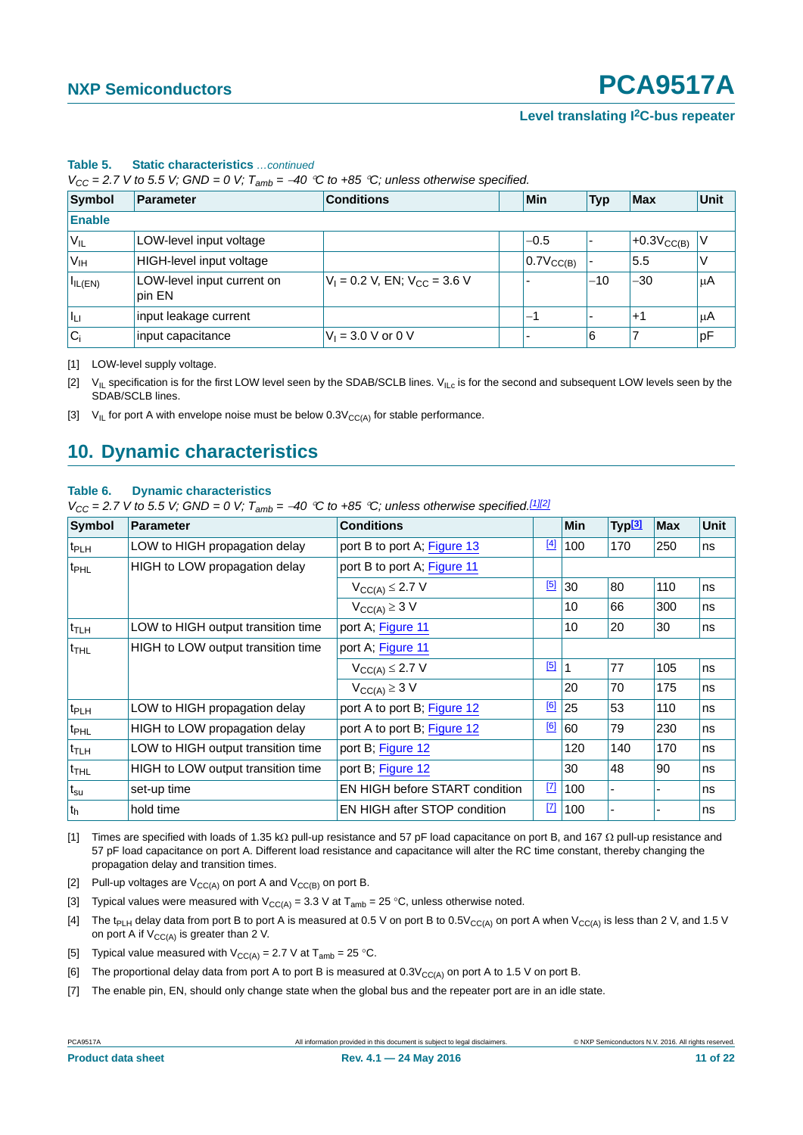#### **Level translating I2C-bus repeater**

| Symbol            | Parameter                            | <b>Conditions</b>                   | Min                   | <b>Typ</b> | <b>Max</b>             | <b>Unit</b> |
|-------------------|--------------------------------------|-------------------------------------|-----------------------|------------|------------------------|-------------|
| <b>Enable</b>     |                                      |                                     |                       |            |                        |             |
| ∣ V <sub>IL</sub> | LOW-level input voltage              |                                     | $-0.5$                |            | $+0.3V_{\text{CC(B)}}$ |             |
| V <sub>IH</sub>   | HIGH-level input voltage             |                                     | $0.7V_{\text{CC(B)}}$ |            | 5.5                    |             |
| $I_{IL(EN)}$      | LOW-level input current on<br>pin EN | $V_1 = 0.2$ V, EN; $V_{CC} = 3.6$ V |                       | $-10$      | $-30$                  | $\mu$ A     |
| Īы                | input leakage current                |                                     | —1                    |            | $+1$                   | μA          |
| $ C_i $           | input capacitance                    | $V_1 = 3.0 V$ or 0 V                |                       | 6          |                        | pF          |

#### **Table 5. Static characteristics** *…continued*

 $V_{CC}$  = 2.7 V to 5.5 V; GND = 0 V;  $T_{amb}$  = -40 °C to +85 °C; unless otherwise specified.

<span id="page-10-0"></span>[1] LOW-level supply voltage.

<span id="page-10-1"></span>[2]  $V_{IL}$  specification is for the first LOW level seen by the SDAB/SCLB lines.  $V_{ILc}$  is for the second and subsequent LOW levels seen by the SDAB/SCLB lines.

<span id="page-10-2"></span>[3]  $V_{IL}$  for port A with envelope noise must be below  $0.3V_{CC(A)}$  for stable performance.

# <span id="page-10-10"></span>**10. Dynamic characteristics**

#### **Table 6. Dynamic characteristics**

 $V_{CC}$  = 2.7 V to 5.5 V; GND = 0 V;  $T_{amb}$  = -40 °C to +85 °C; unless otherwise specified.<sup>[\[1\]](#page-10-3)[\[2\]](#page-10-4)</sup>

| <b>Symbol</b>    | <b>Parameter</b>                   | <b>Conditions</b>              |             | <b>Min</b> | <sup> </sup> Typ <mark>[3]</mark> | <b>Max</b> | Unit |
|------------------|------------------------------------|--------------------------------|-------------|------------|-----------------------------------|------------|------|
| t <sub>PLH</sub> | LOW to HIGH propagation delay      | port B to port A; Figure 13    | $[4]$       | 100        | 170                               | 250        | ns   |
| t <sub>PHL</sub> | HIGH to LOW propagation delay      | port B to port A; Figure 11    |             |            |                                   |            |      |
|                  |                                    | $V_{CC(A)} \leq 2.7 V$         | [5]         | 30         | 80                                | 110        | ns   |
|                  |                                    | $V_{CC(A)} \geq 3$ V           |             | 10         | 66                                | 300        | ns   |
| $t_{\text{TLH}}$ | LOW to HIGH output transition time | port A; Figure 11              |             | 10         | 20                                | 30         | ns   |
| <sup>t</sup> THL | HIGH to LOW output transition time | port A; Figure 11              |             |            |                                   |            |      |
|                  |                                    | $V_{CC(A)} \leq 2.7 V$         | [5]         |            | 77                                | 105        | ns   |
|                  |                                    | $V_{CC(A)} \geq 3$ V           |             | 20         | 70                                | 175        | ns   |
| t <sub>PLH</sub> | LOW to HIGH propagation delay      | port A to port B; Figure 12    | [6]         | 25         | 53                                | 110        | ns   |
| t <sub>PHL</sub> | HIGH to LOW propagation delay      | port A to port B; Figure 12    | [6]         | 60         | 79                                | 230        | ns   |
| <sup>t</sup> TLH | LOW to HIGH output transition time | port B; Figure 12              |             | 120        | 140                               | 170        | ns   |
| <sup>t</sup> THL | HIGH to LOW output transition time | port B; Figure 12              |             | 30         | 48                                | 90         | ns   |
| $ t_{\rm su} $   | set-up time                        | EN HIGH before START condition | $\boxed{7}$ | 100        |                                   |            | ns   |
| $ t_h $          | hold time                          | EN HIGH after STOP condition   | $\boxed{7}$ | 100        |                                   |            | ns   |

<span id="page-10-3"></span>[1] Times are specified with loads of 1.35 k $\Omega$  pull-up resistance and 57 pF load capacitance on port B, and 167  $\Omega$  pull-up resistance and 57 pF load capacitance on port A. Different load resistance and capacitance will alter the RC time constant, thereby changing the propagation delay and transition times.

<span id="page-10-4"></span>[2] Pull-up voltages are  $V_{CC(A)}$  on port A and  $V_{CC(B)}$  on port B.

- <span id="page-10-5"></span>[3] Typical values were measured with  $V_{CC(A)} = 3.3$  V at T<sub>amb</sub> = 25 °C, unless otherwise noted.
- <span id="page-10-6"></span>[4] The t<sub>PLH</sub> delay data from port B to port A is measured at 0.5 V on port B to 0.5V<sub>CC(A)</sub> on port A when V<sub>CC(A)</sub> is less than 2 V, and 1.5 V on port A if  $V_{CC(A)}$  is greater than 2 V.
- <span id="page-10-7"></span>[5] Typical value measured with  $V_{CC(A)} = 2.7$  V at T<sub>amb</sub> = 25 °C.

<span id="page-10-8"></span>[6] The proportional delay data from port A to port B is measured at  $0.3V_{CC(A)}$  on port A to 1.5 V on port B.

<span id="page-10-9"></span>[7] The enable pin, EN, should only change state when the global bus and the repeater port are in an idle state.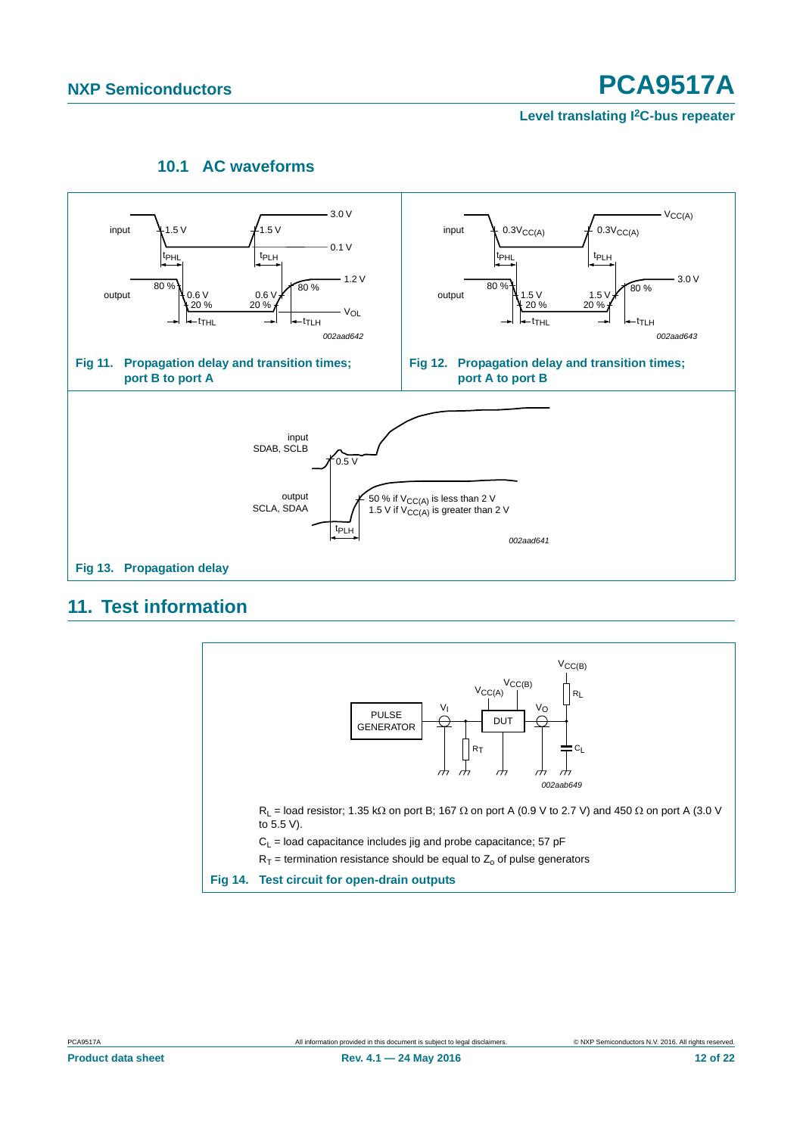<span id="page-11-2"></span>**Level translating I2C-bus repeater**

# **10.1 AC waveforms**

<span id="page-11-3"></span><span id="page-11-1"></span>

# <span id="page-11-4"></span><span id="page-11-0"></span>**11. Test information**

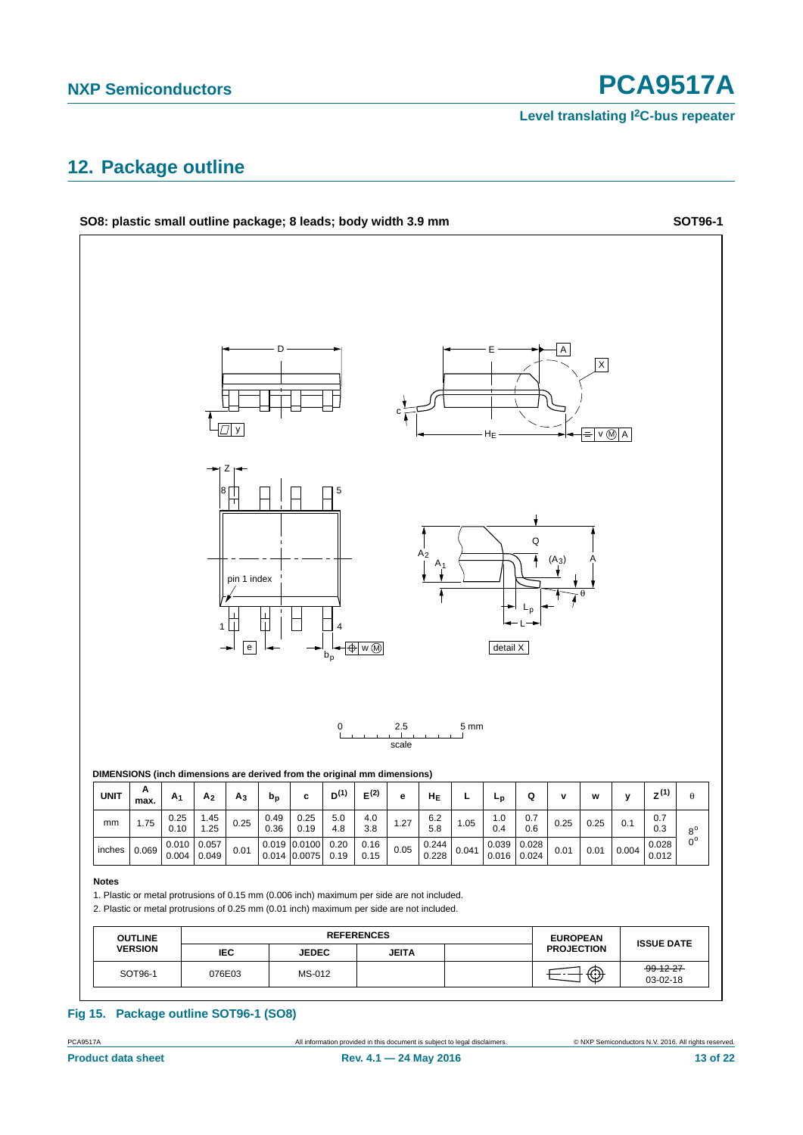**Level translating I2C-bus repeater**

# <span id="page-12-0"></span>**12. Package outline**



# PCA9517A All information provided in this document is subject to legal disclaimers. © NXP Semiconductors N.V. 2016. All rights reserved.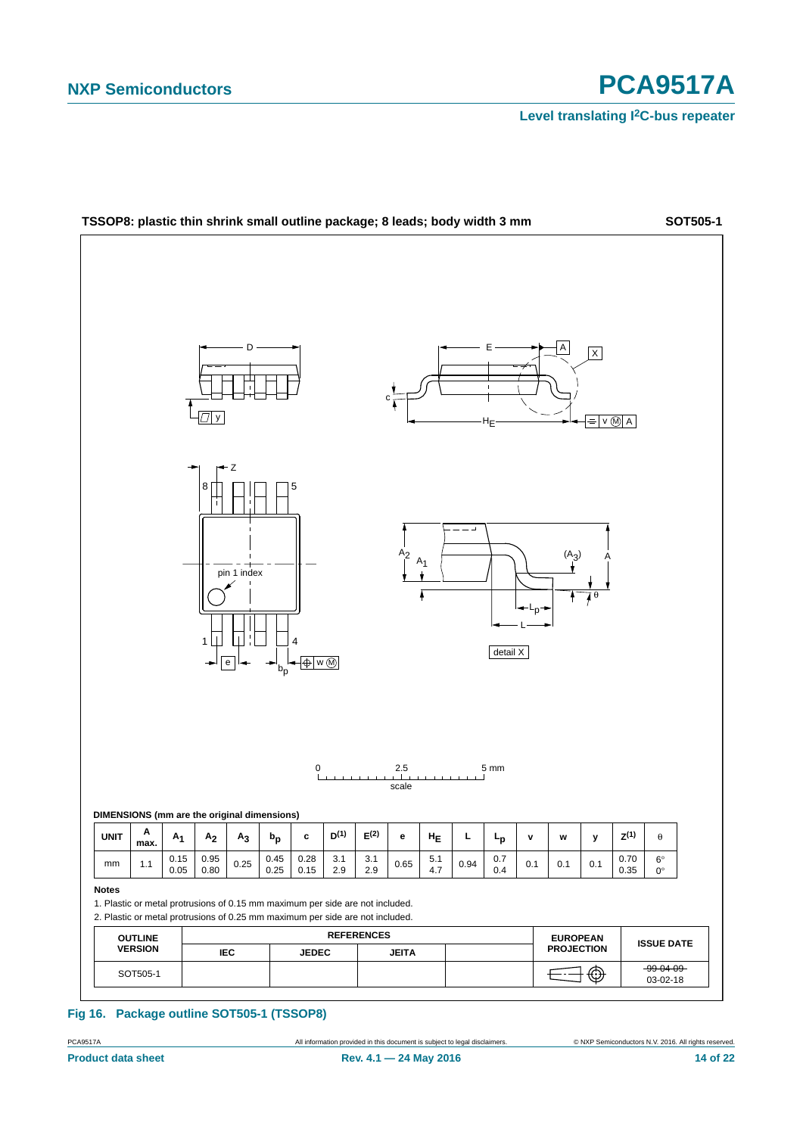**Level translating I2C-bus repeater**



| Fig 16. Package outline SOT505-1 (TSSOP8) |
|-------------------------------------------|
|                                           |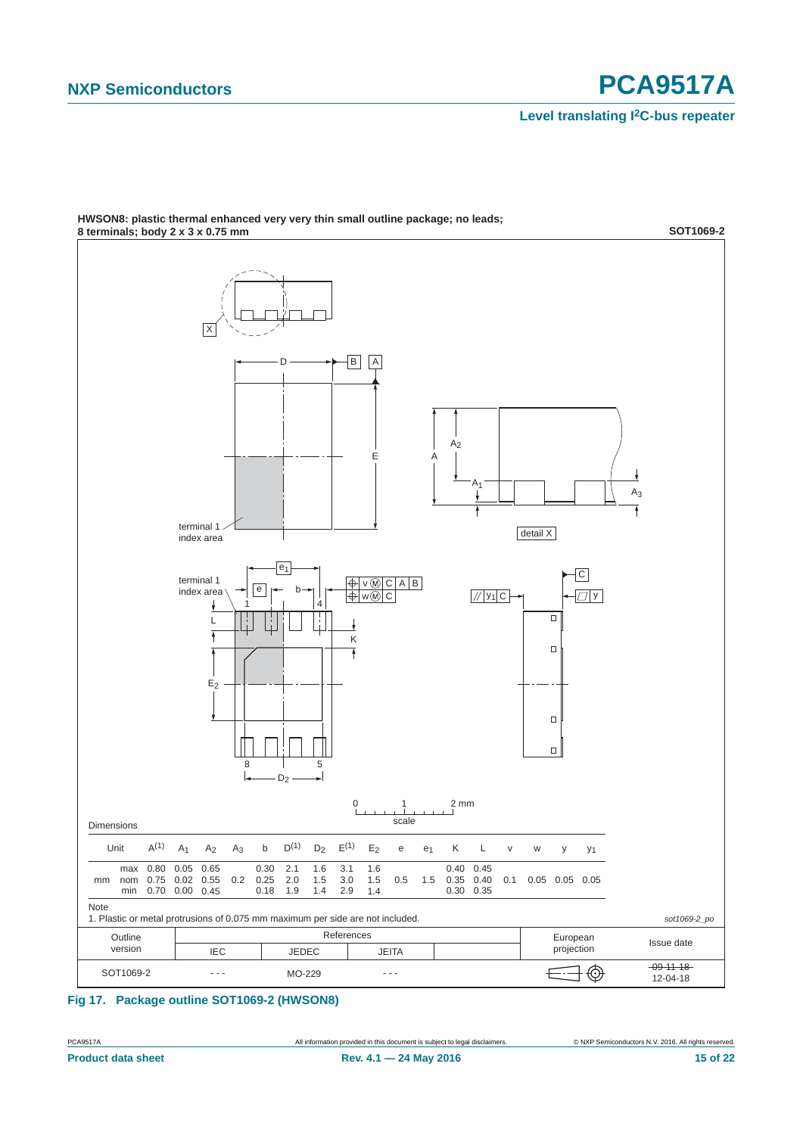**Level translating I2C-bus repeater**



**HWSON8: plastic thermal enhanced very very thin small outline package; no leads;**

## **Fig 17. Package outline SOT1069-2 (HWSON8)**

PCA9517A All information provided in this document is subject to legal disclaimers. © NXP Semiconductors N.V. 2016. All rights reserved.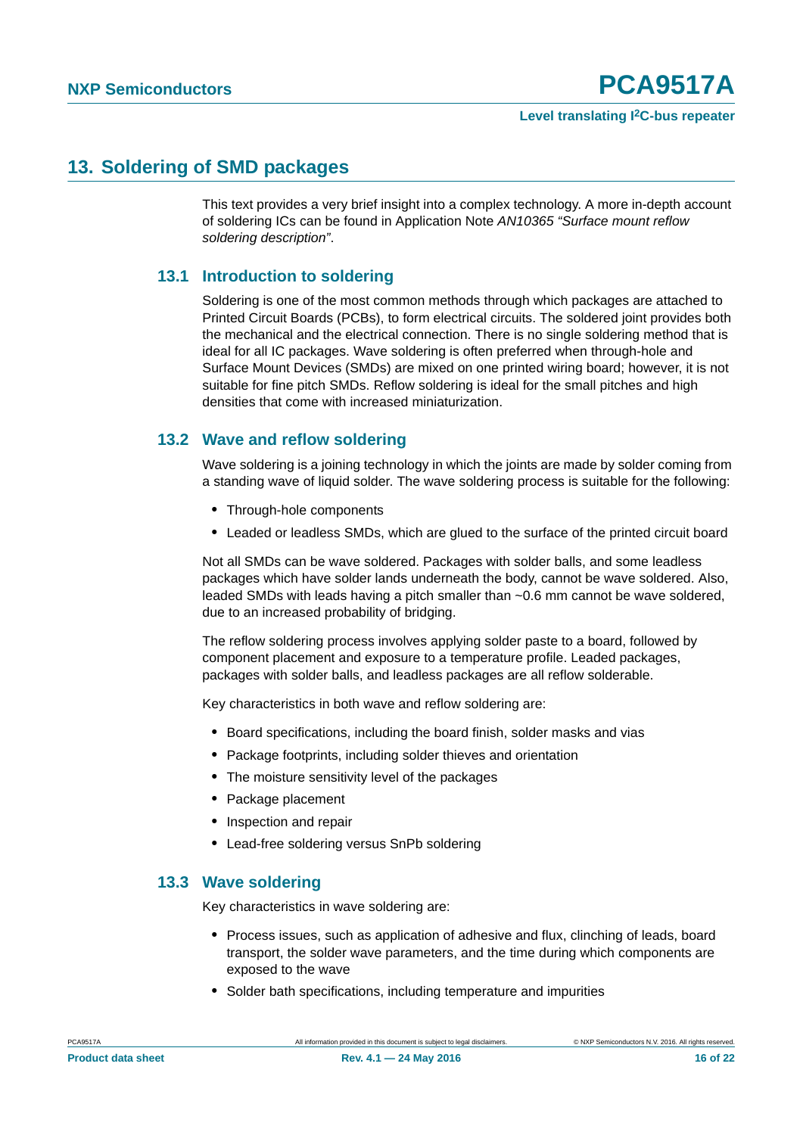# <span id="page-15-0"></span>**13. Soldering of SMD packages**

This text provides a very brief insight into a complex technology. A more in-depth account of soldering ICs can be found in Application Note *AN10365 "Surface mount reflow soldering description"*.

## <span id="page-15-1"></span>**13.1 Introduction to soldering**

Soldering is one of the most common methods through which packages are attached to Printed Circuit Boards (PCBs), to form electrical circuits. The soldered joint provides both the mechanical and the electrical connection. There is no single soldering method that is ideal for all IC packages. Wave soldering is often preferred when through-hole and Surface Mount Devices (SMDs) are mixed on one printed wiring board; however, it is not suitable for fine pitch SMDs. Reflow soldering is ideal for the small pitches and high densities that come with increased miniaturization.

# <span id="page-15-2"></span>**13.2 Wave and reflow soldering**

Wave soldering is a joining technology in which the joints are made by solder coming from a standing wave of liquid solder. The wave soldering process is suitable for the following:

- **•** Through-hole components
- **•** Leaded or leadless SMDs, which are glued to the surface of the printed circuit board

Not all SMDs can be wave soldered. Packages with solder balls, and some leadless packages which have solder lands underneath the body, cannot be wave soldered. Also, leaded SMDs with leads having a pitch smaller than ~0.6 mm cannot be wave soldered, due to an increased probability of bridging.

The reflow soldering process involves applying solder paste to a board, followed by component placement and exposure to a temperature profile. Leaded packages, packages with solder balls, and leadless packages are all reflow solderable.

Key characteristics in both wave and reflow soldering are:

- **•** Board specifications, including the board finish, solder masks and vias
- **•** Package footprints, including solder thieves and orientation
- **•** The moisture sensitivity level of the packages
- **•** Package placement
- **•** Inspection and repair
- **•** Lead-free soldering versus SnPb soldering

## <span id="page-15-3"></span>**13.3 Wave soldering**

Key characteristics in wave soldering are:

- **•** Process issues, such as application of adhesive and flux, clinching of leads, board transport, the solder wave parameters, and the time during which components are exposed to the wave
- **•** Solder bath specifications, including temperature and impurities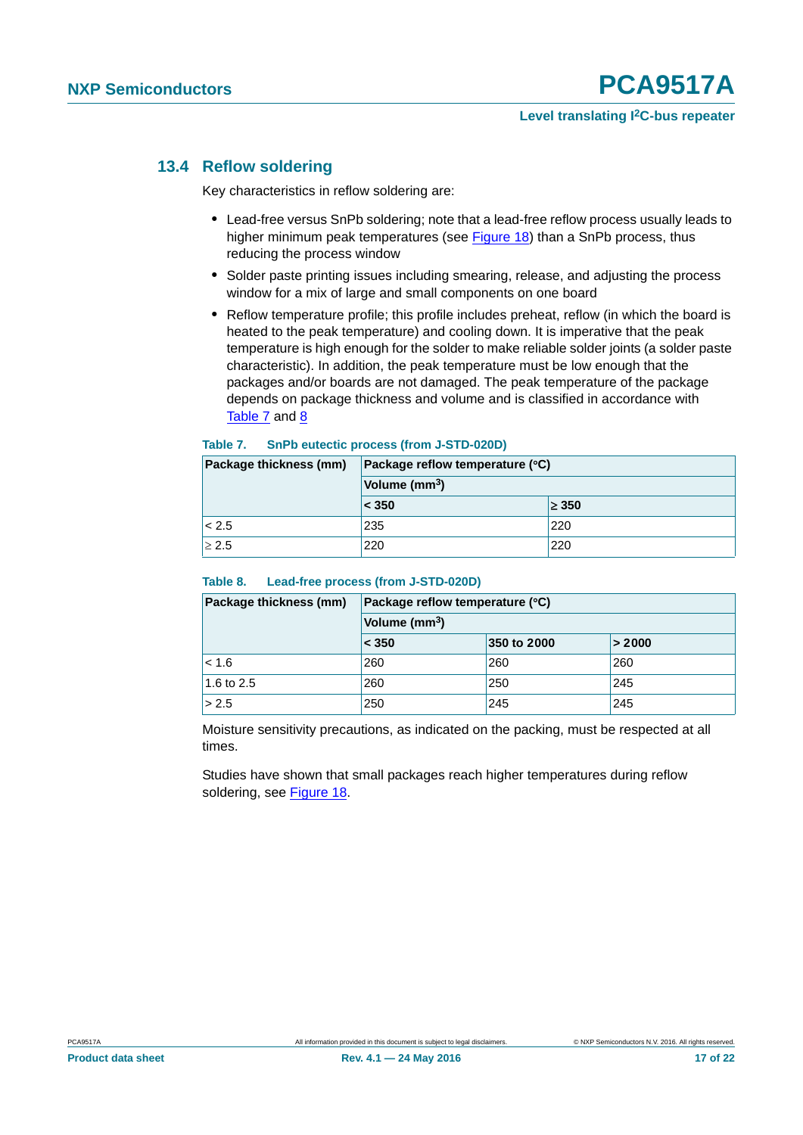## <span id="page-16-2"></span>**13.4 Reflow soldering**

Key characteristics in reflow soldering are:

- **•** Lead-free versus SnPb soldering; note that a lead-free reflow process usually leads to higher minimum peak temperatures (see [Figure 18\)](#page-17-0) than a SnPb process, thus reducing the process window
- **•** Solder paste printing issues including smearing, release, and adjusting the process window for a mix of large and small components on one board
- **•** Reflow temperature profile; this profile includes preheat, reflow (in which the board is heated to the peak temperature) and cooling down. It is imperative that the peak temperature is high enough for the solder to make reliable solder joints (a solder paste characteristic). In addition, the peak temperature must be low enough that the packages and/or boards are not damaged. The peak temperature of the package depends on package thickness and volume and is classified in accordance with [Table 7](#page-16-0) and [8](#page-16-1)

#### <span id="page-16-0"></span>**Table 7. SnPb eutectic process (from J-STD-020D)**

| Package thickness (mm) | Package reflow temperature (°C) |            |  |
|------------------------|---------------------------------|------------|--|
|                        | Volume (mm <sup>3</sup> )       |            |  |
|                        | < 350                           | $\geq 350$ |  |
| < 2.5                  | 235                             | 220        |  |
| $\geq 2.5$             | 220                             | 220        |  |

#### <span id="page-16-1"></span>**Table 8. Lead-free process (from J-STD-020D)**

| Package thickness (mm) | Package reflow temperature (°C) |     |     |  |  |
|------------------------|---------------------------------|-----|-----|--|--|
|                        | Volume (mm <sup>3</sup> )       |     |     |  |  |
|                        | < 350<br>350 to 2000<br>> 2000  |     |     |  |  |
| < 1.6                  | 260                             | 260 | 260 |  |  |
| 1.6 to 2.5             | 260                             | 250 | 245 |  |  |
| > 2.5                  | 250                             | 245 | 245 |  |  |

Moisture sensitivity precautions, as indicated on the packing, must be respected at all times.

Studies have shown that small packages reach higher temperatures during reflow soldering, see [Figure 18](#page-17-0).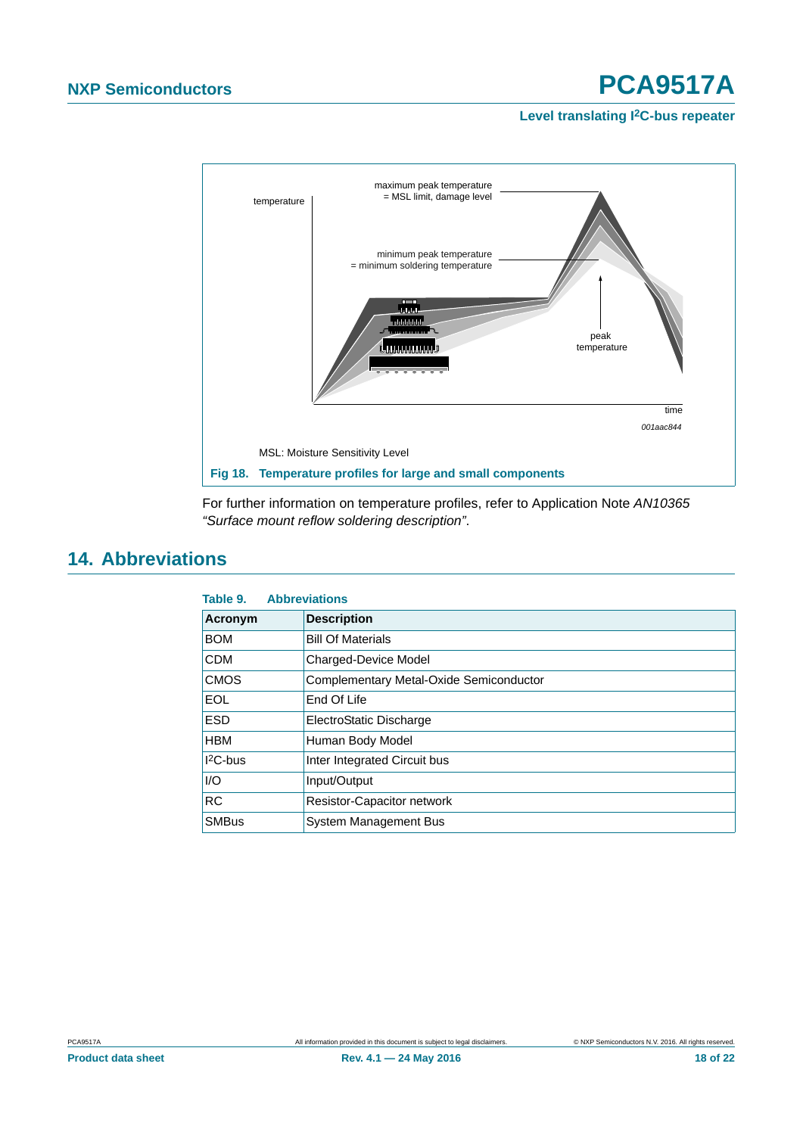#### **Level translating I2C-bus repeater**



<span id="page-17-0"></span>For further information on temperature profiles, refer to Application Note *AN10365 "Surface mount reflow soldering description"*.

# <span id="page-17-1"></span>**14. Abbreviations**

| Table 9.     | <b>Abbreviations</b>                    |
|--------------|-----------------------------------------|
| Acronym      | <b>Description</b>                      |
| <b>BOM</b>   | <b>Bill Of Materials</b>                |
| <b>CDM</b>   | Charged-Device Model                    |
| <b>CMOS</b>  | Complementary Metal-Oxide Semiconductor |
| <b>EOL</b>   | End Of Life                             |
| <b>ESD</b>   | ElectroStatic Discharge                 |
| <b>HBM</b>   | Human Body Model                        |
| $12C$ -bus   | Inter Integrated Circuit bus            |
| 1/O          | Input/Output                            |
| <b>RC</b>    | <b>Resistor-Capacitor network</b>       |
| <b>SMBus</b> | System Management Bus                   |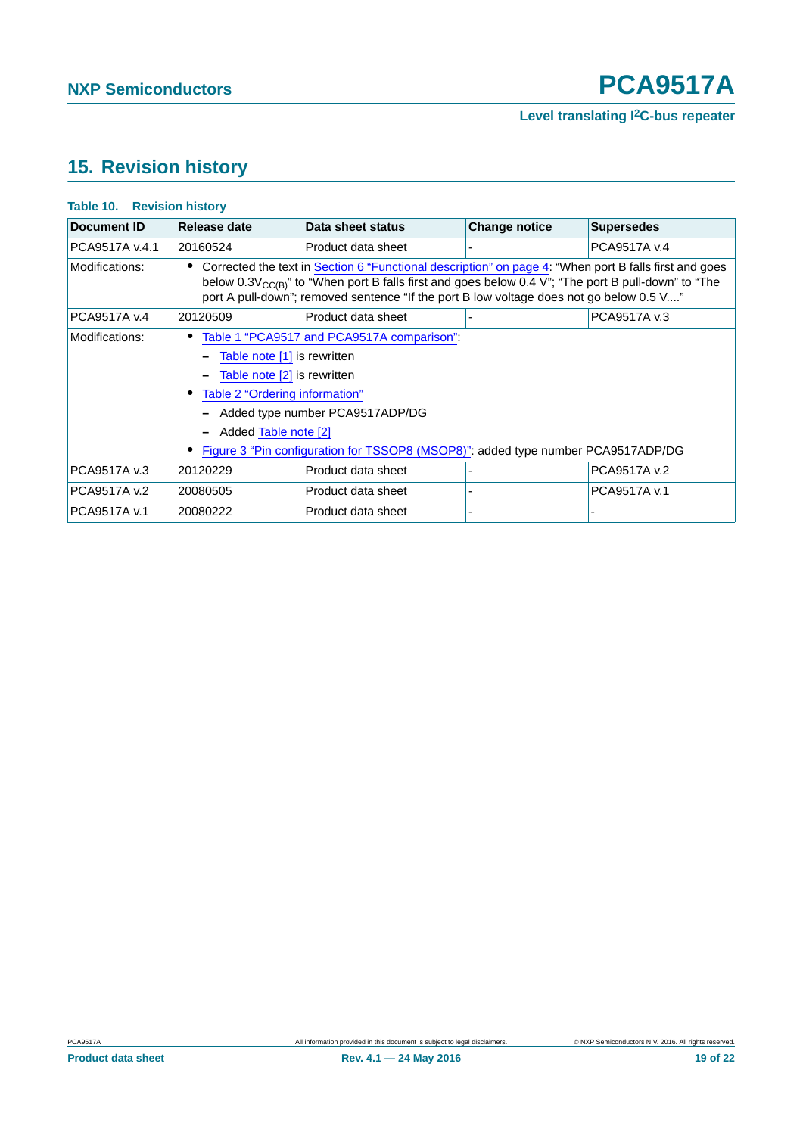# <span id="page-18-0"></span>**15. Revision history**

| <b>Document ID</b> | Release date                                                                                                                                                                                                                                                                                                                                                | Data sheet status                                                                                                                                                                                                                                                                                                   | <b>Change notice</b> | <b>Supersedes</b> |  |  |  |
|--------------------|-------------------------------------------------------------------------------------------------------------------------------------------------------------------------------------------------------------------------------------------------------------------------------------------------------------------------------------------------------------|---------------------------------------------------------------------------------------------------------------------------------------------------------------------------------------------------------------------------------------------------------------------------------------------------------------------|----------------------|-------------------|--|--|--|
| PCA9517A v.4.1     | 20160524                                                                                                                                                                                                                                                                                                                                                    | Product data sheet                                                                                                                                                                                                                                                                                                  |                      | PCA9517A v.4      |  |  |  |
| Modifications:     |                                                                                                                                                                                                                                                                                                                                                             | Corrected the text in Section 6 "Functional description" on page 4: "When port B falls first and goes<br>below $0.3V_{\text{CC(B)}}$ " to "When port B falls first and goes below 0.4 V"; "The port B pull-down" to "The<br>port A pull-down"; removed sentence "If the port B low voltage does not go below 0.5 V" |                      |                   |  |  |  |
| PCA9517A v.4       | 20120509                                                                                                                                                                                                                                                                                                                                                    | Product data sheet                                                                                                                                                                                                                                                                                                  |                      | PCA9517A v.3      |  |  |  |
| Modifications:     | Table 1 "PCA9517 and PCA9517A comparison".<br>Table note [1] is rewritten<br>$\qquad \qquad \blacksquare$<br>Table note [2] is rewritten<br>Table 2 "Ordering information"<br>- Added type number PCA9517ADP/DG<br>Added Table note [2]<br>$\qquad \qquad \blacksquare$<br>Figure 3 "Pin configuration for TSSOP8 (MSOP8)": added type number PCA9517ADP/DG |                                                                                                                                                                                                                                                                                                                     |                      |                   |  |  |  |
| PCA9517A v.3       | 20120229                                                                                                                                                                                                                                                                                                                                                    | Product data sheet                                                                                                                                                                                                                                                                                                  |                      | PCA9517A v.2      |  |  |  |
| PCA9517A v.2       | 20080505                                                                                                                                                                                                                                                                                                                                                    | Product data sheet                                                                                                                                                                                                                                                                                                  |                      | PCA9517A v.1      |  |  |  |
| PCA9517A v.1       | 20080222                                                                                                                                                                                                                                                                                                                                                    | Product data sheet                                                                                                                                                                                                                                                                                                  |                      |                   |  |  |  |

## **Table 10. Revision history**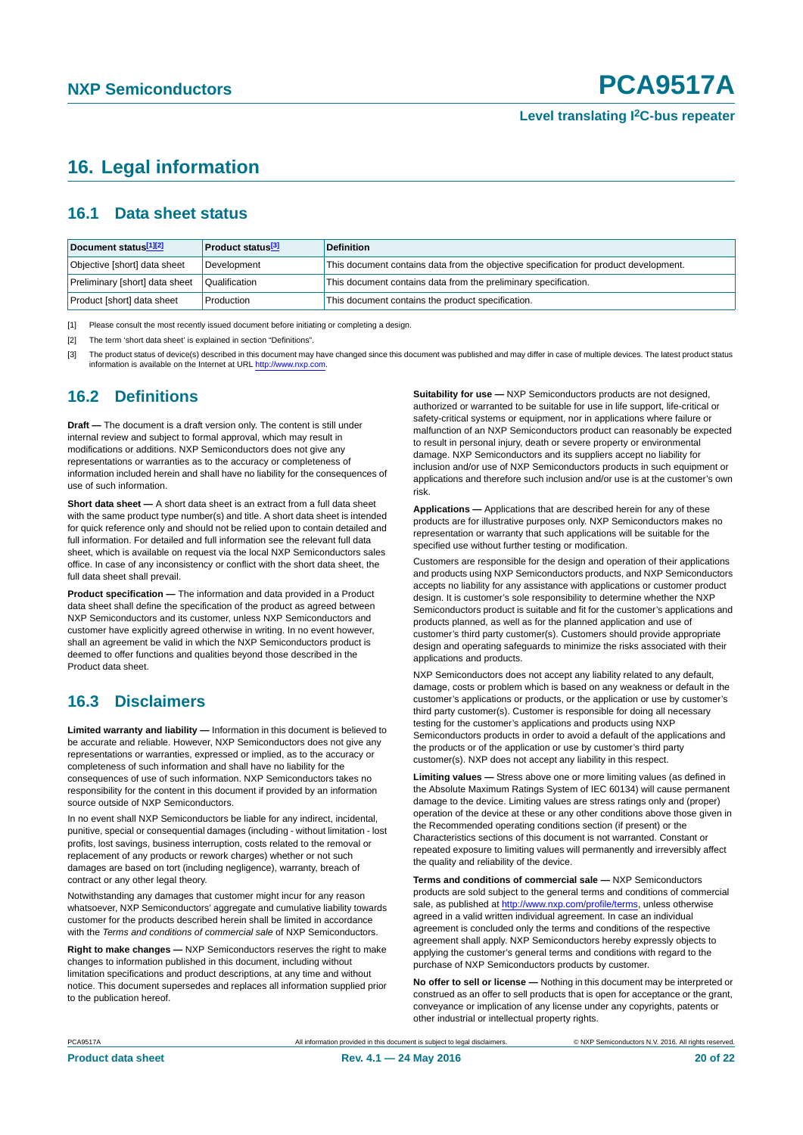# <span id="page-19-3"></span>**16. Legal information**

## <span id="page-19-4"></span>**16.1 Data sheet status**

| Document status[1][2]          | <b>Product status</b> <sup>[3]</sup> | <b>Definition</b>                                                                     |
|--------------------------------|--------------------------------------|---------------------------------------------------------------------------------------|
| Objective [short] data sheet   | Development                          | This document contains data from the objective specification for product development. |
| Preliminary [short] data sheet | Qualification                        | This document contains data from the preliminary specification.                       |
| Product [short] data sheet     | Production                           | This document contains the product specification.                                     |

<span id="page-19-0"></span>[1] Please consult the most recently issued document before initiating or completing a design.

<span id="page-19-1"></span>[2] The term 'short data sheet' is explained in section "Definitions".

<span id="page-19-2"></span>[3] The product status of device(s) described in this document may have changed since this document was published and may differ in case of multiple devices. The latest product status<br>information is available on the Intern

## <span id="page-19-5"></span>**16.2 Definitions**

**Draft —** The document is a draft version only. The content is still under internal review and subject to formal approval, which may result in modifications or additions. NXP Semiconductors does not give any representations or warranties as to the accuracy or completeness of information included herein and shall have no liability for the consequences of use of such information.

**Short data sheet —** A short data sheet is an extract from a full data sheet with the same product type number(s) and title. A short data sheet is intended for quick reference only and should not be relied upon to contain detailed and full information. For detailed and full information see the relevant full data sheet, which is available on request via the local NXP Semiconductors sales office. In case of any inconsistency or conflict with the short data sheet, the full data sheet shall prevail.

**Product specification —** The information and data provided in a Product data sheet shall define the specification of the product as agreed between NXP Semiconductors and its customer, unless NXP Semiconductors and customer have explicitly agreed otherwise in writing. In no event however, shall an agreement be valid in which the NXP Semiconductors product is deemed to offer functions and qualities beyond those described in the Product data sheet.

# <span id="page-19-6"></span>**16.3 Disclaimers**

**Limited warranty and liability —** Information in this document is believed to be accurate and reliable. However, NXP Semiconductors does not give any representations or warranties, expressed or implied, as to the accuracy or completeness of such information and shall have no liability for the consequences of use of such information. NXP Semiconductors takes no responsibility for the content in this document if provided by an information source outside of NXP Semiconductors.

In no event shall NXP Semiconductors be liable for any indirect, incidental, punitive, special or consequential damages (including - without limitation - lost profits, lost savings, business interruption, costs related to the removal or replacement of any products or rework charges) whether or not such damages are based on tort (including negligence), warranty, breach of contract or any other legal theory.

Notwithstanding any damages that customer might incur for any reason whatsoever, NXP Semiconductors' aggregate and cumulative liability towards customer for the products described herein shall be limited in accordance with the *Terms and conditions of commercial sale* of NXP Semiconductors.

**Right to make changes —** NXP Semiconductors reserves the right to make changes to information published in this document, including without limitation specifications and product descriptions, at any time and without notice. This document supersedes and replaces all information supplied prior to the publication hereof.

**Suitability for use —** NXP Semiconductors products are not designed, authorized or warranted to be suitable for use in life support, life-critical or safety-critical systems or equipment, nor in applications where failure or malfunction of an NXP Semiconductors product can reasonably be expected to result in personal injury, death or severe property or environmental damage. NXP Semiconductors and its suppliers accept no liability for inclusion and/or use of NXP Semiconductors products in such equipment or applications and therefore such inclusion and/or use is at the customer's own risk.

**Applications —** Applications that are described herein for any of these products are for illustrative purposes only. NXP Semiconductors makes no representation or warranty that such applications will be suitable for the specified use without further testing or modification.

Customers are responsible for the design and operation of their applications and products using NXP Semiconductors products, and NXP Semiconductors accepts no liability for any assistance with applications or customer product design. It is customer's sole responsibility to determine whether the NXP Semiconductors product is suitable and fit for the customer's applications and products planned, as well as for the planned application and use of customer's third party customer(s). Customers should provide appropriate design and operating safeguards to minimize the risks associated with their applications and products.

NXP Semiconductors does not accept any liability related to any default, damage, costs or problem which is based on any weakness or default in the customer's applications or products, or the application or use by customer's third party customer(s). Customer is responsible for doing all necessary testing for the customer's applications and products using NXP Semiconductors products in order to avoid a default of the applications and the products or of the application or use by customer's third party customer(s). NXP does not accept any liability in this respect.

**Limiting values —** Stress above one or more limiting values (as defined in the Absolute Maximum Ratings System of IEC 60134) will cause permanent damage to the device. Limiting values are stress ratings only and (proper) operation of the device at these or any other conditions above those given in the Recommended operating conditions section (if present) or the Characteristics sections of this document is not warranted. Constant or repeated exposure to limiting values will permanently and irreversibly affect the quality and reliability of the device.

**Terms and conditions of commercial sale —** NXP Semiconductors products are sold subject to the general terms and conditions of commercial sale, as published at<http://www.nxp.com/profile/terms>, unless otherwise agreed in a valid written individual agreement. In case an individual agreement is concluded only the terms and conditions of the respective agreement shall apply. NXP Semiconductors hereby expressly objects to applying the customer's general terms and conditions with regard to the purchase of NXP Semiconductors products by customer.

**No offer to sell or license —** Nothing in this document may be interpreted or construed as an offer to sell products that is open for acceptance or the grant, conveyance or implication of any license under any copyrights, patents or other industrial or intellectual property rights.

PCA9517A All information provided in this document is subject to legal disclaimers. © NXP Semiconductors N.V. 2016. All rights reserved.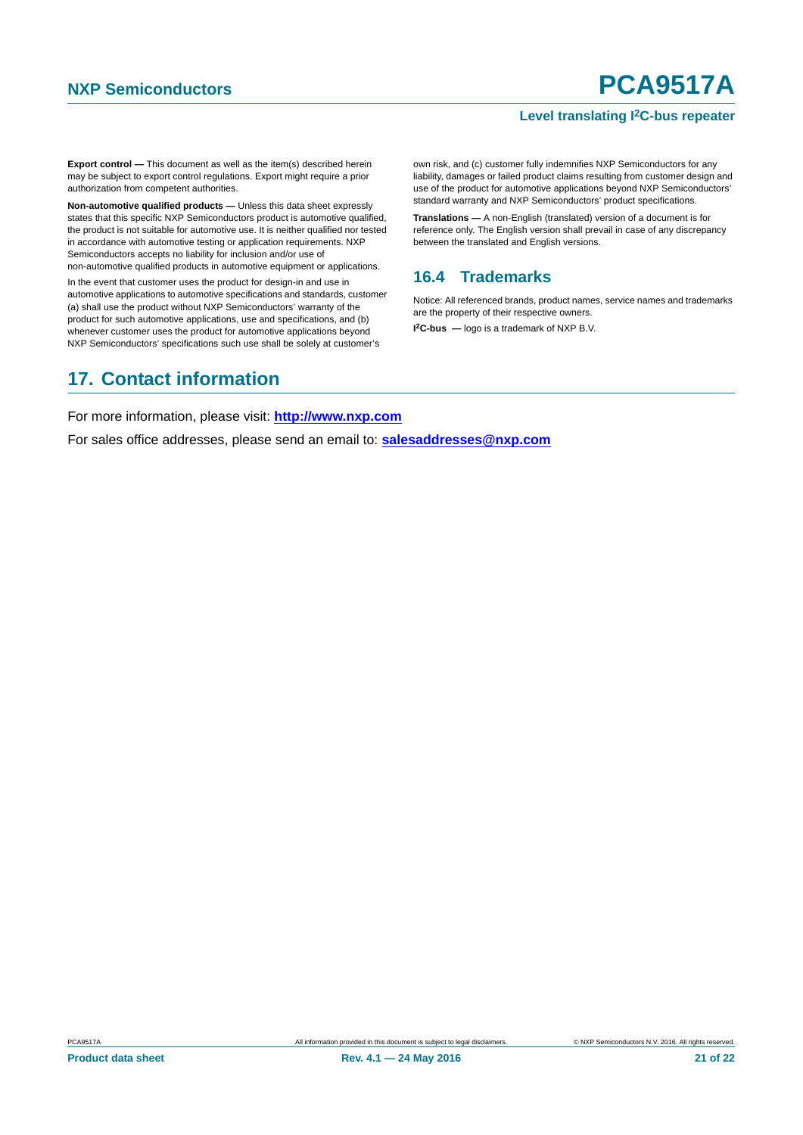#### **Level translating I2C-bus repeater**

**Export control —** This document as well as the item(s) described herein may be subject to export control regulations. Export might require a prior authorization from competent authorities.

**Non-automotive qualified products —** Unless this data sheet expressly states that this specific NXP Semiconductors product is automotive qualified, the product is not suitable for automotive use. It is neither qualified nor tested in accordance with automotive testing or application requirements. NXP Semiconductors accepts no liability for inclusion and/or use of non-automotive qualified products in automotive equipment or applications.

In the event that customer uses the product for design-in and use in automotive applications to automotive specifications and standards, customer (a) shall use the product without NXP Semiconductors' warranty of the product for such automotive applications, use and specifications, and (b) whenever customer uses the product for automotive applications beyond NXP Semiconductors' specifications such use shall be solely at customer's

own risk, and (c) customer fully indemnifies NXP Semiconductors for any liability, damages or failed product claims resulting from customer design and use of the product for automotive applications beyond NXP Semiconductors' standard warranty and NXP Semiconductors' product specifications.

**Translations —** A non-English (translated) version of a document is for reference only. The English version shall prevail in case of any discrepancy between the translated and English versions.

# <span id="page-20-0"></span>**16.4 Trademarks**

Notice: All referenced brands, product names, service names and trademarks are the property of their respective owners.

**I 2C-bus —** logo is a trademark of NXP B.V.

# <span id="page-20-1"></span>**17. Contact information**

For more information, please visit: **http://www.nxp.com**

For sales office addresses, please send an email to: **salesaddresses@nxp.com**